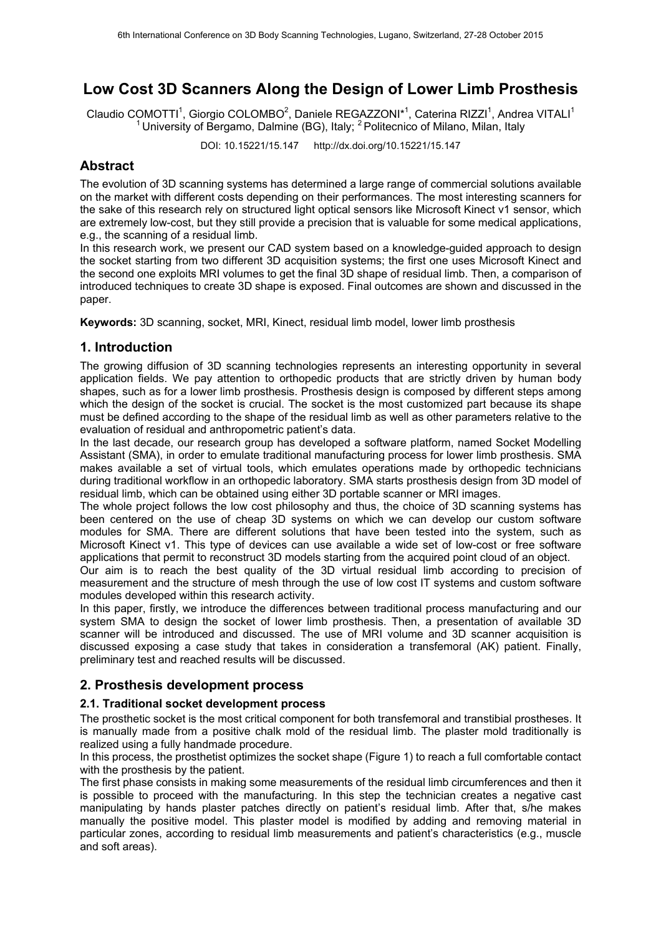# **Low Cost 3D Scanners Along the Design of Lower Limb Prosthesis**

Claudio COMOTTI<sup>1</sup>, Giorgio COLOMBO<sup>2</sup>, Daniele REGAZZONI<sup>\*1</sup>, Caterina RIZZI<sup>1</sup>, Andrea VITALI<sup>1</sup> <sup>1</sup> University of Bergamo, Dalmine (BG), Italy; <sup>2</sup> Politecnico of Milano, Milan, Italy

DOI: 10.15221/15.147 http://dx.doi.org/10.15221/15.147

# **Abstract**

The evolution of 3D scanning systems has determined a large range of commercial solutions available on the market with different costs depending on their performances. The most interesting scanners for the sake of this research rely on structured light optical sensors like Microsoft Kinect v1 sensor, which are extremely low-cost, but they still provide a precision that is valuable for some medical applications, e.g., the scanning of a residual limb.

In this research work, we present our CAD system based on a knowledge-guided approach to design the socket starting from two different 3D acquisition systems; the first one uses Microsoft Kinect and the second one exploits MRI volumes to get the final 3D shape of residual limb. Then, a comparison of introduced techniques to create 3D shape is exposed. Final outcomes are shown and discussed in the paper.

**Keywords:** 3D scanning, socket, MRI, Kinect, residual limb model, lower limb prosthesis

# **1. Introduction**

The growing diffusion of 3D scanning technologies represents an interesting opportunity in several application fields. We pay attention to orthopedic products that are strictly driven by human body shapes, such as for a lower limb prosthesis. Prosthesis design is composed by different steps among which the design of the socket is crucial. The socket is the most customized part because its shape must be defined according to the shape of the residual limb as well as other parameters relative to the evaluation of residual and anthropometric patient's data.

In the last decade, our research group has developed a software platform, named Socket Modelling Assistant (SMA), in order to emulate traditional manufacturing process for lower limb prosthesis. SMA makes available a set of virtual tools, which emulates operations made by orthopedic technicians during traditional workflow in an orthopedic laboratory. SMA starts prosthesis design from 3D model of residual limb, which can be obtained using either 3D portable scanner or MRI images.

The whole project follows the low cost philosophy and thus, the choice of 3D scanning systems has been centered on the use of cheap 3D systems on which we can develop our custom software modules for SMA. There are different solutions that have been tested into the system, such as Microsoft Kinect v1. This type of devices can use available a wide set of low-cost or free software applications that permit to reconstruct 3D models starting from the acquired point cloud of an object.

Our aim is to reach the best quality of the 3D virtual residual limb according to precision of measurement and the structure of mesh through the use of low cost IT systems and custom software modules developed within this research activity.

In this paper, firstly, we introduce the differences between traditional process manufacturing and our system SMA to design the socket of lower limb prosthesis. Then, a presentation of available 3D scanner will be introduced and discussed. The use of MRI volume and 3D scanner acquisition is discussed exposing a case study that takes in consideration a transfemoral (AK) patient. Finally, preliminary test and reached results will be discussed.

# **2. Prosthesis development process**

# **2.1. Traditional socket development process**

The prosthetic socket is the most critical component for both transfemoral and transtibial prostheses. It is manually made from a positive chalk mold of the residual limb. The plaster mold traditionally is realized using a fully handmade procedure.

In this process, the prosthetist optimizes the socket shape (Figure 1) to reach a full comfortable contact with the prosthesis by the patient.

The first phase consists in making some measurements of the residual limb circumferences and then it is possible to proceed with the manufacturing. In this step the technician creates a negative cast manipulating by hands plaster patches directly on patient's residual limb. After that, s/he makes manually the positive model. This plaster model is modified by adding and removing material in particular zones, according to residual limb measurements and patient's characteristics (e.g., muscle and soft areas).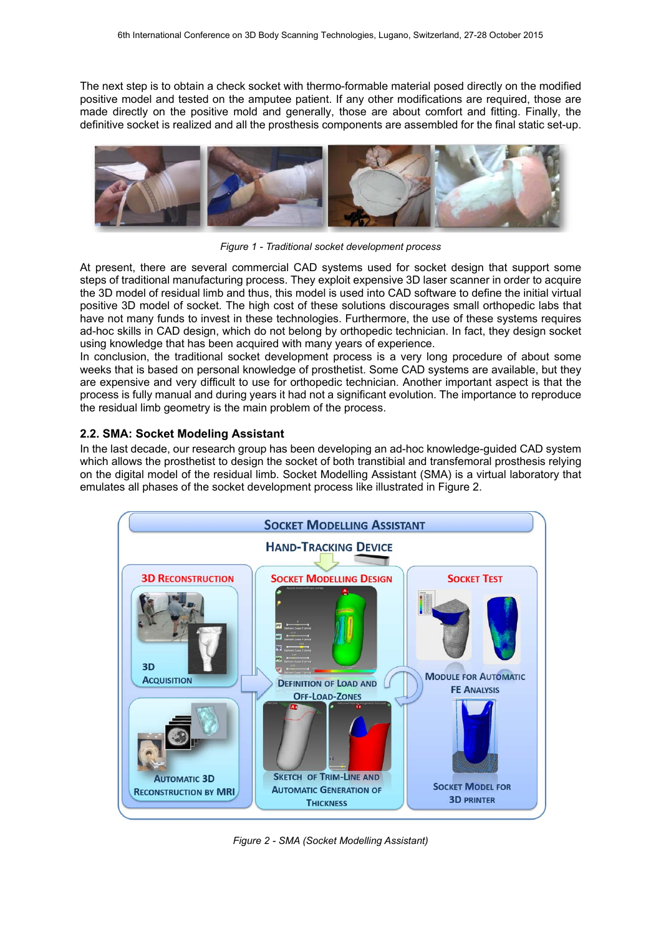The next step is to obtain a check socket with thermo-formable material posed directly on the modified positive model and tested on the amputee patient. If any other modifications are required, those are made directly on the positive mold and generally, those are about comfort and fitting. Finally, the definitive socket is realized and all the prosthesis components are assembled for the final static set-up.



*Figure 1 - Traditional socket development process* 

At present, there are several commercial CAD systems used for socket design that support some steps of traditional manufacturing process. They exploit expensive 3D laser scanner in order to acquire the 3D model of residual limb and thus, this model is used into CAD software to define the initial virtual positive 3D model of socket. The high cost of these solutions discourages small orthopedic labs that have not many funds to invest in these technologies. Furthermore, the use of these systems requires ad-hoc skills in CAD design, which do not belong by orthopedic technician. In fact, they design socket using knowledge that has been acquired with many years of experience.

In conclusion, the traditional socket development process is a very long procedure of about some weeks that is based on personal knowledge of prosthetist. Some CAD systems are available, but they are expensive and very difficult to use for orthopedic technician. Another important aspect is that the process is fully manual and during years it had not a significant evolution. The importance to reproduce the residual limb geometry is the main problem of the process.

#### **2.2. SMA: Socket Modeling Assistant**

In the last decade, our research group has been developing an ad-hoc knowledge-guided CAD system which allows the prosthetist to design the socket of both transtibial and transfemoral prosthesis relying on the digital model of the residual limb. Socket Modelling Assistant (SMA) is a virtual laboratory that emulates all phases of the socket development process like illustrated in Figure 2.



*Figure 2 - SMA (Socket Modelling Assistant)*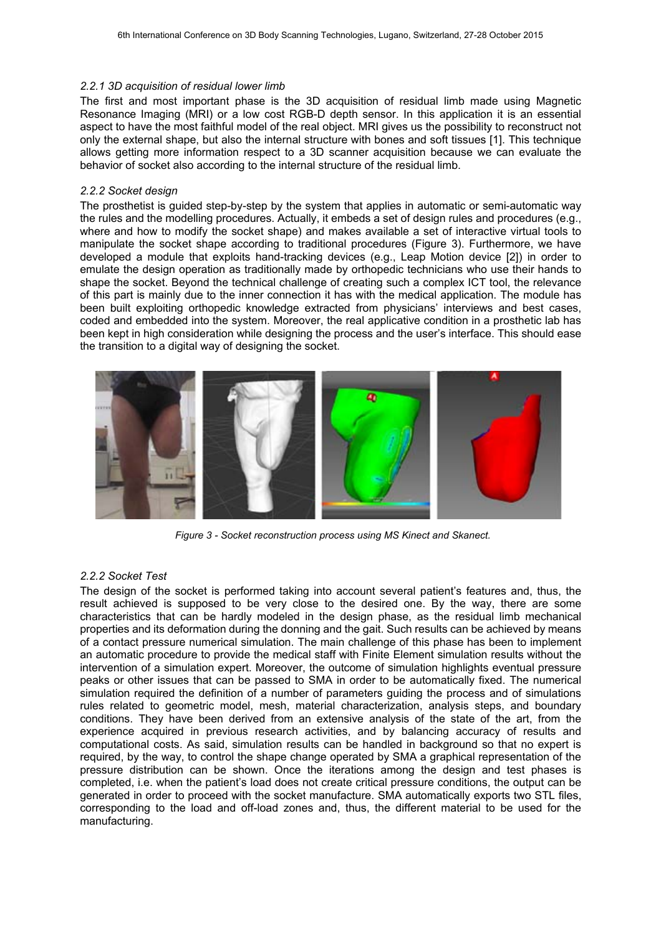#### *2.2.1 3D acquisition of residual lower limb*

The first and most important phase is the 3D acquisition of residual limb made using Magnetic Resonance Imaging (MRI) or a low cost RGB-D depth sensor. In this application it is an essential aspect to have the most faithful model of the real object. MRI gives us the possibility to reconstruct not only the external shape, but also the internal structure with bones and soft tissues [1]. This technique allows getting more information respect to a 3D scanner acquisition because we can evaluate the behavior of socket also according to the internal structure of the residual limb.

#### *2.2.2 Socket design*

The prosthetist is guided step-by-step by the system that applies in automatic or semi-automatic way the rules and the modelling procedures. Actually, it embeds a set of design rules and procedures (e.g., where and how to modify the socket shape) and makes available a set of interactive virtual tools to manipulate the socket shape according to traditional procedures (Figure 3). Furthermore, we have developed a module that exploits hand-tracking devices (e.g., Leap Motion device [2]) in order to emulate the design operation as traditionally made by orthopedic technicians who use their hands to shape the socket. Beyond the technical challenge of creating such a complex ICT tool, the relevance of this part is mainly due to the inner connection it has with the medical application. The module has been built exploiting orthopedic knowledge extracted from physicians' interviews and best cases, coded and embedded into the system. Moreover, the real applicative condition in a prosthetic lab has been kept in high consideration while designing the process and the user's interface. This should ease the transition to a digital way of designing the socket.



 *Figure 3 - Socket reconstruction process using MS Kinect and Skanect.* 

#### *2.2.2 Socket Test*

The design of the socket is performed taking into account several patient's features and, thus, the result achieved is supposed to be very close to the desired one. By the way, there are some characteristics that can be hardly modeled in the design phase, as the residual limb mechanical properties and its deformation during the donning and the gait. Such results can be achieved by means of a contact pressure numerical simulation. The main challenge of this phase has been to implement an automatic procedure to provide the medical staff with Finite Element simulation results without the intervention of a simulation expert. Moreover, the outcome of simulation highlights eventual pressure peaks or other issues that can be passed to SMA in order to be automatically fixed. The numerical simulation required the definition of a number of parameters guiding the process and of simulations rules related to geometric model, mesh, material characterization, analysis steps, and boundary conditions. They have been derived from an extensive analysis of the state of the art, from the experience acquired in previous research activities, and by balancing accuracy of results and computational costs. As said, simulation results can be handled in background so that no expert is required, by the way, to control the shape change operated by SMA a graphical representation of the pressure distribution can be shown. Once the iterations among the design and test phases is completed, i.e. when the patient's load does not create critical pressure conditions, the output can be generated in order to proceed with the socket manufacture. SMA automatically exports two STL files, corresponding to the load and off-load zones and, thus, the different material to be used for the manufacturing.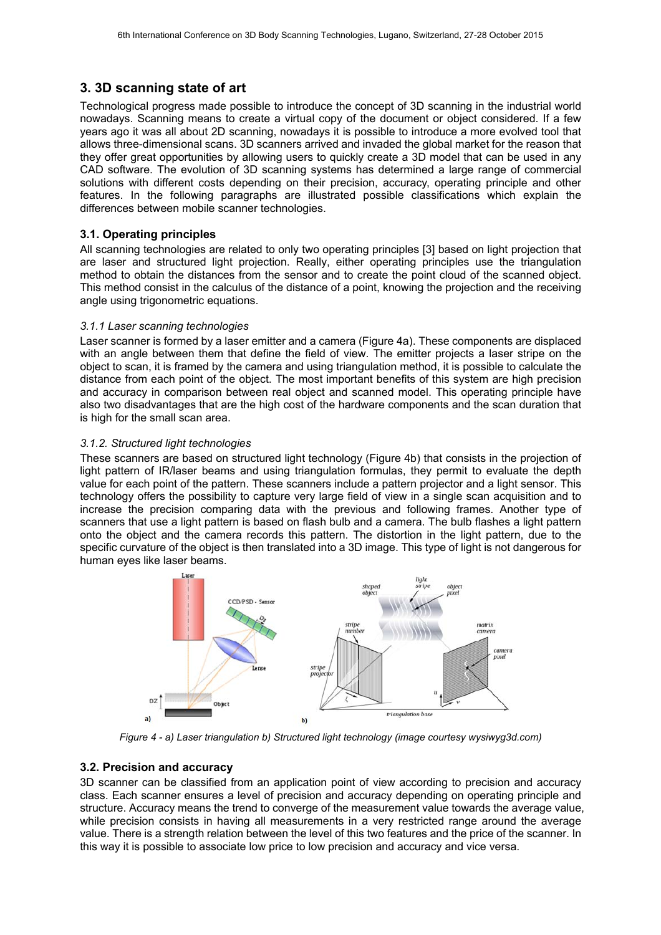# **3. 3D scanning state of art**

Technological progress made possible to introduce the concept of 3D scanning in the industrial world nowadays. Scanning means to create a virtual copy of the document or object considered. If a few years ago it was all about 2D scanning, nowadays it is possible to introduce a more evolved tool that allows three-dimensional scans. 3D scanners arrived and invaded the global market for the reason that they offer great opportunities by allowing users to quickly create a 3D model that can be used in any CAD software. The evolution of 3D scanning systems has determined a large range of commercial solutions with different costs depending on their precision, accuracy, operating principle and other features. In the following paragraphs are illustrated possible classifications which explain the differences between mobile scanner technologies.

### **3.1. Operating principles**

All scanning technologies are related to only two operating principles [3] based on light projection that are laser and structured light projection. Really, either operating principles use the triangulation method to obtain the distances from the sensor and to create the point cloud of the scanned object. This method consist in the calculus of the distance of a point, knowing the projection and the receiving angle using trigonometric equations.

### *3.1.1 Laser scanning technologies*

Laser scanner is formed by a laser emitter and a camera (Figure 4a). These components are displaced with an angle between them that define the field of view. The emitter projects a laser stripe on the object to scan, it is framed by the camera and using triangulation method, it is possible to calculate the distance from each point of the object. The most important benefits of this system are high precision and accuracy in comparison between real object and scanned model. This operating principle have also two disadvantages that are the high cost of the hardware components and the scan duration that is high for the small scan area.

### *3.1.2. Structured light technologies*

These scanners are based on structured light technology (Figure 4b) that consists in the projection of light pattern of IR/laser beams and using triangulation formulas, they permit to evaluate the depth value for each point of the pattern. These scanners include a pattern projector and a light sensor. This technology offers the possibility to capture very large field of view in a single scan acquisition and to increase the precision comparing data with the previous and following frames. Another type of scanners that use a light pattern is based on flash bulb and a camera. The bulb flashes a light pattern onto the object and the camera records this pattern. The distortion in the light pattern, due to the specific curvature of the object is then translated into a 3D image. This type of light is not dangerous for human eyes like laser beams.



*Figure 4 - a) Laser triangulation b) Structured light technology (image courtesy wysiwyg3d.com)* 

### **3.2. Precision and accuracy**

3D scanner can be classified from an application point of view according to precision and accuracy class. Each scanner ensures a level of precision and accuracy depending on operating principle and structure. Accuracy means the trend to converge of the measurement value towards the average value, while precision consists in having all measurements in a very restricted range around the average value. There is a strength relation between the level of this two features and the price of the scanner. In this way it is possible to associate low price to low precision and accuracy and vice versa.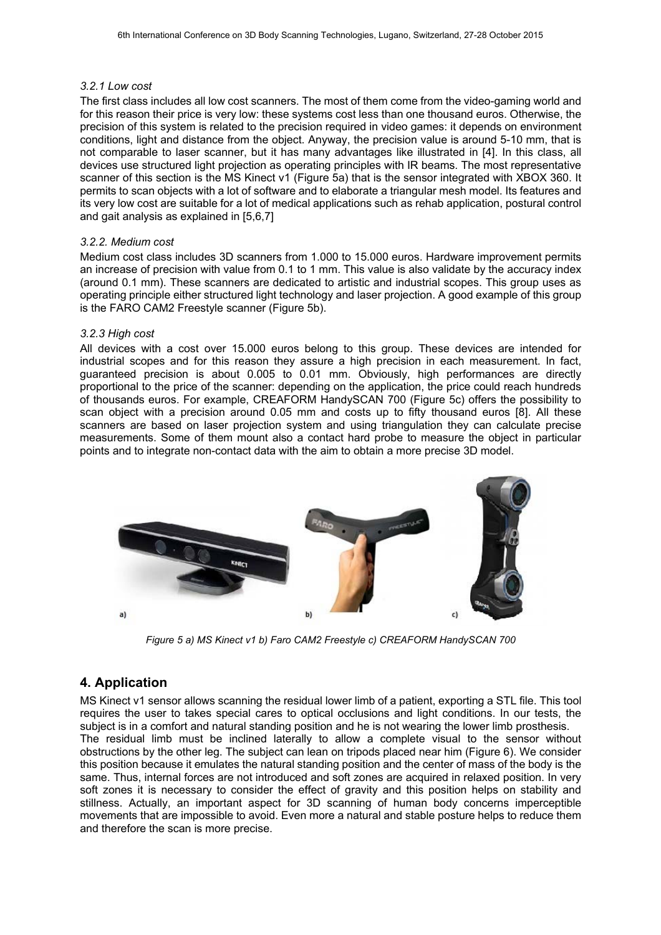#### *3.2.1 Low cost*

The first class includes all low cost scanners. The most of them come from the video-gaming world and for this reason their price is very low: these systems cost less than one thousand euros. Otherwise, the precision of this system is related to the precision required in video games: it depends on environment conditions, light and distance from the object. Anyway, the precision value is around 5-10 mm, that is not comparable to laser scanner, but it has many advantages like illustrated in [4]. In this class, all devices use structured light projection as operating principles with IR beams. The most representative scanner of this section is the MS Kinect v1 (Figure 5a) that is the sensor integrated with XBOX 360. It permits to scan objects with a lot of software and to elaborate a triangular mesh model. Its features and its very low cost are suitable for a lot of medical applications such as rehab application, postural control and gait analysis as explained in [5,6,7]

#### *3.2.2. Medium cost*

Medium cost class includes 3D scanners from 1.000 to 15.000 euros. Hardware improvement permits an increase of precision with value from 0.1 to 1 mm. This value is also validate by the accuracy index (around 0.1 mm). These scanners are dedicated to artistic and industrial scopes. This group uses as operating principle either structured light technology and laser projection. A good example of this group is the FARO CAM2 Freestyle scanner (Figure 5b).

#### *3.2.3 High cost*

All devices with a cost over 15.000 euros belong to this group. These devices are intended for industrial scopes and for this reason they assure a high precision in each measurement. In fact, guaranteed precision is about 0.005 to 0.01 mm. Obviously, high performances are directly proportional to the price of the scanner: depending on the application, the price could reach hundreds of thousands euros. For example, CREAFORM HandySCAN 700 (Figure 5c) offers the possibility to scan object with a precision around 0.05 mm and costs up to fifty thousand euros [8]. All these scanners are based on laser projection system and using triangulation they can calculate precise measurements. Some of them mount also a contact hard probe to measure the object in particular points and to integrate non-contact data with the aim to obtain a more precise 3D model.



*Figure 5 a) MS Kinect v1 b) Faro CAM2 Freestyle c) CREAFORM HandySCAN 700* 

# **4. Application**

MS Kinect v1 sensor allows scanning the residual lower limb of a patient, exporting a STL file. This tool requires the user to takes special cares to optical occlusions and light conditions. In our tests, the subject is in a comfort and natural standing position and he is not wearing the lower limb prosthesis. The residual limb must be inclined laterally to allow a complete visual to the sensor without obstructions by the other leg. The subject can lean on tripods placed near him (Figure 6). We consider this position because it emulates the natural standing position and the center of mass of the body is the same. Thus, internal forces are not introduced and soft zones are acquired in relaxed position. In very soft zones it is necessary to consider the effect of gravity and this position helps on stability and stillness. Actually, an important aspect for 3D scanning of human body concerns imperceptible movements that are impossible to avoid. Even more a natural and stable posture helps to reduce them and therefore the scan is more precise.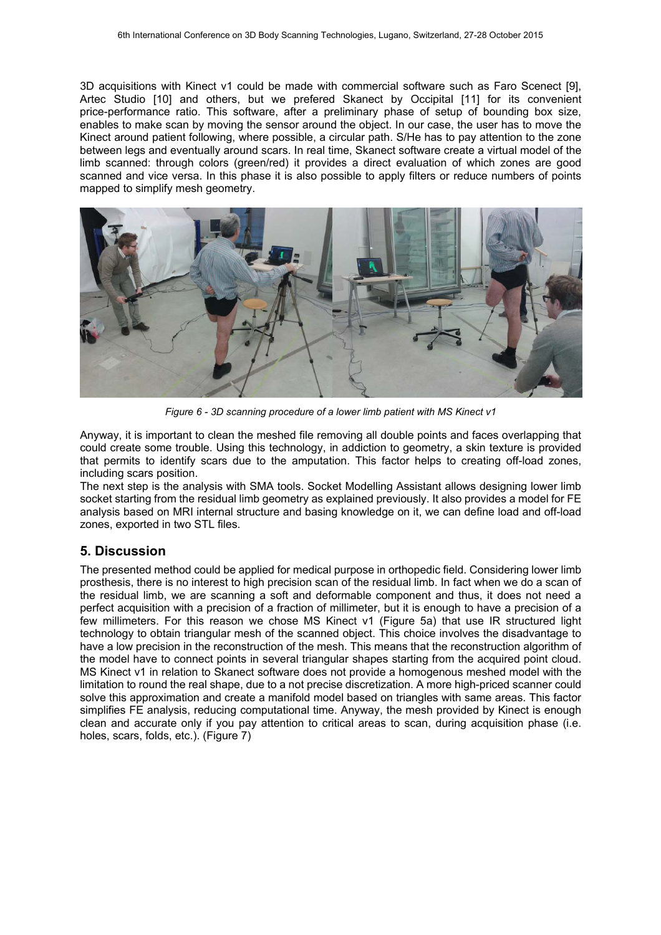3D acquisitions with Kinect v1 could be made with commercial software such as Faro Scenect [9], Artec Studio [10] and others, but we prefered Skanect by Occipital [11] for its convenient price-performance ratio. This software, after a preliminary phase of setup of bounding box size, enables to make scan by moving the sensor around the object. In our case, the user has to move the Kinect around patient following, where possible, a circular path. S/He has to pay attention to the zone between legs and eventually around scars. In real time, Skanect software create a virtual model of the limb scanned: through colors (green/red) it provides a direct evaluation of which zones are good scanned and vice versa. In this phase it is also possible to apply filters or reduce numbers of points mapped to simplify mesh geometry.



*Figure 6 - 3D scanning procedure of a lower limb patient with MS Kinect v1* 

Anyway, it is important to clean the meshed file removing all double points and faces overlapping that could create some trouble. Using this technology, in addiction to geometry, a skin texture is provided that permits to identify scars due to the amputation. This factor helps to creating off-load zones, including scars position.

The next step is the analysis with SMA tools. Socket Modelling Assistant allows designing lower limb socket starting from the residual limb geometry as explained previously. It also provides a model for FE analysis based on MRI internal structure and basing knowledge on it, we can define load and off-load zones, exported in two STL files.

# **5. Discussion**

The presented method could be applied for medical purpose in orthopedic field. Considering lower limb prosthesis, there is no interest to high precision scan of the residual limb. In fact when we do a scan of the residual limb, we are scanning a soft and deformable component and thus, it does not need a perfect acquisition with a precision of a fraction of millimeter, but it is enough to have a precision of a few millimeters. For this reason we chose MS Kinect v1 (Figure 5a) that use IR structured light technology to obtain triangular mesh of the scanned object. This choice involves the disadvantage to have a low precision in the reconstruction of the mesh. This means that the reconstruction algorithm of the model have to connect points in several triangular shapes starting from the acquired point cloud. MS Kinect v1 in relation to Skanect software does not provide a homogenous meshed model with the limitation to round the real shape, due to a not precise discretization. A more high-priced scanner could solve this approximation and create a manifold model based on triangles with same areas. This factor simplifies FE analysis, reducing computational time. Anyway, the mesh provided by Kinect is enough clean and accurate only if you pay attention to critical areas to scan, during acquisition phase (i.e. holes, scars, folds, etc.). (Figure 7)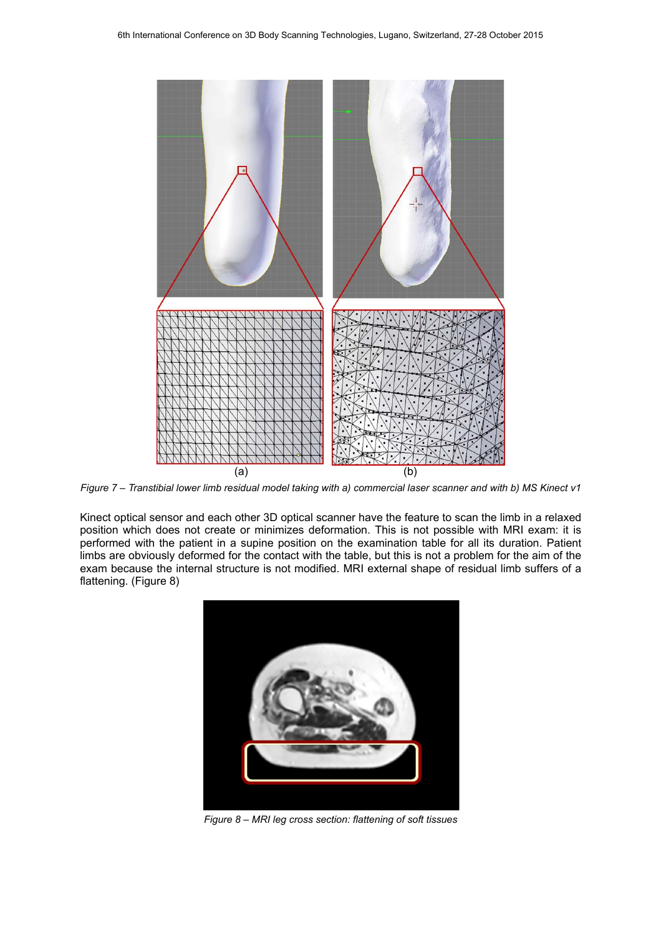

*Figure 7 – Transtibial lower limb residual model taking with a) commercial laser scanner and with b) MS Kinect v1* 

Kinect optical sensor and each other 3D optical scanner have the feature to scan the limb in a relaxed position which does not create or minimizes deformation. This is not possible with MRI exam: it is performed with the patient in a supine position on the examination table for all its duration. Patient limbs are obviously deformed for the contact with the table, but this is not a problem for the aim of the exam because the internal structure is not modified. MRI external shape of residual limb suffers of a flattening. (Figure 8)



*Figure 8 – MRI leg cross section: flattening of soft tissues*